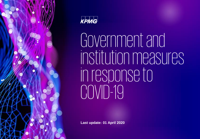



Governmentand institution measures in response to COVID-19

**Last update: 01 April 2020**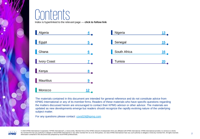# et ar

Index is hyperlinked to the relevant page — **click to follow link**

| Algeria            | $\overline{\mathbf{4}}$ | Nigeria      | $\frac{13}{4}$ |
|--------------------|-------------------------|--------------|----------------|
| Egypt              | $\overline{5}$          | Senegal      | 15             |
| Ghana              | 6                       | South Africa | 16             |
| <b>Ivory Coast</b> | $\mathbf{Z}$            | Tunisia      | 20             |
| Kenya              | 8                       |              |                |
| <b>Mauritius</b>   | $9 \overline{ }$        |              |                |
| Morocco            | 12 <sub>1</sub>         |              |                |

The materials contained in this document are intended for general reference and do not constitute advice from KPMG International or any of its member firms. Readers of these materials who have specific questions regarding the matters discussed herein are encouraged to contact their KPMG advisor or other advisor. The materials are updated as new developments emerge but readers should recognize the rapidly evolving nature of the underlying subject matter.

For any questions please contact: [covid19@kpmg.com](mailto:covid19@kpmg.com)



© 2020 KPMG International Cooperative ("KPMG International"), a Swiss entity. Member firms of the KPMG network of independent firms are affiliated with KPMG International. KPMG International provides no services to clients. No member firm has any authority to obligate or bind KPMG International or any other member firm vis-à-vis third parties, nor does KPMG International have any such authority to obligate or bind any member firm. All rights Information contained in this document was prepared by local KPMG professionals.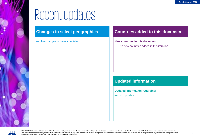# Recentupdates

### **Changes in select geographies**

— No changes in these countries

### **Countries added to this document**

#### **New countries in this document:**

— No new countries added in this iteration

### **Updated information**

**Updated information regarding:**

— No updates



© 2020 KPMG International Cooperative ("KPMG International"), a Swiss entity. Member firms of the KPMG network of independent firms are affiliated with KPMG International. KPMG International provides no services to clients. No member firm has any authority to obligate or bind KPMG International or any other member firm vis-à-vis third parties, nor does KPMG International have any such authority to obligate or bind any member firm. All rights Information contained in this document was prepared by local KPMG professionals.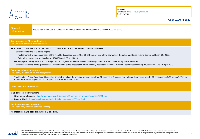<span id="page-3-0"></span>

**Contacts:** Tax: Ramzi Ouali — [rouali@kpmg.dz](mailto:rouali@kpmg.dz) Restructuring:

**As of 01 April 2020**

#### **General**

Information Algeria has introduced a number of tax-related measures, and reduced the reserve ratio for banks.

#### **Tax measures — Direct and Indirect**

*(e.g. payment deferrals, rate reductions…)*

- Extension of the deadline for the subscription of declarations and the payment of duties and taxes
- Taxpayers under the real estate regime:
	- Postponement of the subscription of the monthly declaration series G n° 50 of February and of the payment of the duties and taxes relating thereto until April 20, 2020.
	- Deferral of payment of tax instalments IRG/IBS until 20 April 2020.
	- Taxpayers, falling under the GD, subject to the obligation of tele-declaration and tele-payment are not concerned by these measures.
- Taxpayers exercising liberal professions: Postponement of the subscription of the monthly declaration series G n° 50 of February (concerning IRG/salaries), until 20 April 2020.

#### **Economic stimulus measures**

#### *(e.g. loans, moratorium on debt repayments…)*

— The Monetary Policy Operations Committee decided to reduce the required reserve ratio from 10 percent to 8 percent and to lower the reserve ratio by 25 basis points (0.25 percent). The key rate of the Bank of Algeria set at 3.25 percent as from 15 March 2020.

#### **Other measures and sources**

#### **Main sources of information:**

- Government of Algeria: <https://www.mfdgi.gov.dz/index.php/8-contenu-en-francais/actualites/1625-test>
- Bank of Algeria: <https://www.bank-of-algeria.dz/pdf/communique15032020.pdf>

#### **Employment-related measures** *(e.g. state compensation schemes, training…)*

**No measures have been announced at this time.**

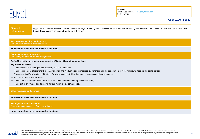<span id="page-4-0"></span>

**Contacts:** Tax: Khaled Balbaa — [kbalbaa@kpmg.com](mailto:kbalbaa@kpmg.com) Restructuring:

#### **As of 01 April 2020**

**General** Information

Egypt has announced a USD 6.4 billion stimulus package, extending credit repayments for SMEs and increasing the daily withdrawal limits for debit and credit cards. The Central Bank has also announced a rate cut of 3 percent.

**Tax measures — Direct and Indirect** *(e.g. payment deferrals, rate reductions…)*

#### **No measures have been announced at this time.**

#### **Economic stimulus measures** *(e.g. loans, moratorium on debt repayments…)*

#### **On 14 March, the government announced a USD 6.4 billion stimulus package.**

#### **Key measures taken**

- The reduction of natural gas and electricity prices to industries;
- The postponement of repayment of loans for small and medium-sized companies by 6 months and the cancellation of ATM withdrawal fees for the same period;
- The central bank's allocation of 20 billion Egyptian pounds (\$1.2bn) to support the country's stock exchange;
- A 3 percent cut in interest rates;
- The increase of the daily withdrawal limits for credit and debit cards by the central bank;
- The grant of an "immediate" financing for the import of key commodities.

#### **Other measures and sources**

**No measures have been announced at this time.**

**Employment-related measures** *(e.g. state compensation schemes, training…)*

**No measures have been announced at this time.**

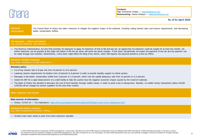<span id="page-5-0"></span>

**Contacts: Tax**: Emmanuel Asiedu — [easiedu@kpmg.com](mailto:easiedu@kpmg.com) **Restructuring**: Daniel Adoteye — [dadoteye@kpmg.com](mailto:dadoteye@kpmg.com)

#### **As of 01 April 2020**

#### **General** Information

The Central Bank of Ghana has taken measures to mitigate the negative impact of the outbreak, including cutting interest rates and reserve requirements, and decreasing banks' conservation buffers.

#### **Tax measures — Direct and Indirect**

*(e.g. payment deferrals, rate reductions…)*

— The Revenue Administration Act (Act 915) provides for taxpayers to apply for extension of time to file and pay tax: an opportunity for extension could be sought for at most two months. No further extension can be granted at this stage and failure to file the tax return will result into penal charges. A lock down will generally not impact the payment of any tax due (as payment can be made through wire transfer). Nevertheless, a lock down might affect the filing of tax returns, which still requires the physical presence at the tax Office.

#### **Economic stimulus measures**

*(e.g. loans, moratorium on debt repayments…)*

#### **Monetary policy**

- Cut of key interest rate to 8-year low from 16 percent to 14.5 percent;
- Lowering reserve requirements for lenders from 10 percent to 8 percent in order to provide liquidity support to critical sectors;
- Decrease in the banks' conservation buffer from 3 percent to 1.5 percent, which cuts the capital-adequacy ratio from 13 percent to 11.5 percent.
- Asked the IMF for a rapid disbursement of a credit facility to help the country face the negative economic impact caused by the Covid-19 outbreak.
- The Bank of Ghana has decided to decrease the cost of fund transfers through mobile money, in order to avoid a low in transactions. Besides, no mobile money transactions below GH100 (USD18) will be charged by service suppliers for the next three months.

#### **Other measures and sources**

#### **Main sources of information:**

— Ghana: COVID-19 — Tax Implications: <https://home.kpmg/gh/en/home/insights/2020/03/gh-covid-19-tax-implications.html>

#### **Employment-related measures**

*(e.g. state compensation schemes, training…)*

— Workers have been asked to work from home whenever possible.

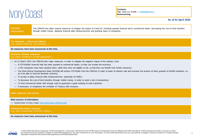<span id="page-6-0"></span>

**Contacts: Tax**: Jean-Luc Ruelle — [jruelle@kpmg.ci](mailto:jruelle@kpmg.ci) **Restructuring**:

#### **As of 01 April 2020**

**General** Information

The CBWAS has taken several measures to mitigate the impact of Covid-19, including granted financial aid to commercial banks, decreasing the cost of fund transfers through mobile money, delaying financial debt reimbursements and granting loans to companies.

**Tax measures — Direct and Indirect** *(e.g. payment deferrals, rate reductions…)*

**No measures have been announced at this time.**

#### **Economic stimulus measures** *(e.g. loans, moratorium on debt repayments…)*

— On 21 March 2020, the CBWAS took major measures, in order to mitigate the negative impact of the sanitary crisis:

- A FCFA340bn financial help has been granted to commercial banks, so they can sustain the economy;
- 1,700 companies have been granted loans, while they were not eligible so far, so that they can benefit from further resources;
- The West African Development Bank (WADB) will receive FCFA25bn from the CBWAS, in order to lower its interest rate and increase the amount of loans granted to WAMU members, so as to be able to fund the domestic economy;
- To accept to delay financial debt reimbursements, especially for SMEs;
- To decrease the cost of fund transfers through mobile money, in order to avoid a low in transactions;
- To fund commercial banks with enough cash to guarantee a good working of cash machines;
- If necessary, to reorganise the schedule of Treasury bills issuance.

#### **Other measures and sources**

#### **Main sources of information:**

— Government of Ivory Coast: <http://www.gouv.ci/Main2.php>

#### **Employment-related measures**

*(e.g. state compensation schemes, training…)*

**No measures have been announced at this time.**

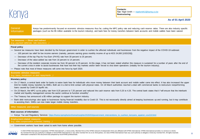<span id="page-7-0"></span>

**Contacts: Tax**: Nigel Smith — [nigelsmith2@kpmg.co.ke](mailto:nigelsmith2@kpmg.co.ke) **Restructuring**:

**As of 01 April 2020**

#### **General** Information

Kenya has predominantly focused on economic stimulus measures thus far, cutting the MPC policy rate and reducing cash reserve ratios. There are also industry specific packages (such as the \$5 million available to the tourism industry), and bank fees for money transfers between bank accounts and mobile wallets have been waived.

#### **Tax measures — Direct and Indirect** *(e.g. payment deferrals, rate reductions…)*

#### **Fiscal policy**

- Several tax measures have been decided by the Kenyan government in order to cushion the affected individuals and businesses from the negative impact of the COVID-19 outbreak:
	- 100 percent tax relief for low income earners (namely, persons earning gross monthly income of up to KES 24,000 [USD226]);
	- Decrease of the top Pay-As-You-Earn (PAYE) rate from 30 percent to 25 percent;
	- Decrease of the value-added tax rate from 16 percent to 14 percent;
	- Decrease of the resident corporate income tax from 30 percent to 25 percent. At this stage, it has not been stated whether this measure is sustained for a number of years after the end of the current crisis in order to assist businesses that have lost their key markets and/or been forced to shut down operations (notably for the tourism industry).
- Please note that most of these measures will come into force by April 2020.

#### **Economic stimulus measures**

#### *(e.g. loans, moratorium on debt repayments…)*

#### **Monetary policy**

- On 17 March, a central bank order for banks to waive bank fees for individuals who move money between their bank account and mobile wallet came into effect. It has also increased the upper limit for mobile money transfers by SMEs. Both are in a bid to limit contact with physical notes. On 18 March authorities reached a deal with commercial banks to restructure nonperforming loans caused by Covid-19 layoffs etc.
- On 23 March, the MPC cut its policy rate from 8.25 percent to 7.25 percent and reduced the cash reserve ratio from 5.25 to 4.25. The central bank states that it "will ensure that the interbank market and liquidity management across the sector continue to function smoothly".
- The Treasury has announced a \$5 million package to support the tourism industry.
- Bank debt restructurings also apply to businesses facing financial instability due to Covid-19. This is not necessarily directly aimed at keeping businesses up and running, but it may contribute to assisting them. SMEs can now make larger mobile money transfers.

#### **Other measures and sources**

#### **Main sources of information:**

— Kenya: Tax and Regulatory Services: [https://home.kpmg/ke/en/home/insights/2020/03/government\\_interventions\\_to\\_cushion\\_kenyans\\_against\\_covi19.html](https://home.kpmg/ke/en/home/insights/2020/03/government_interventions_to_cushion_kenyans_against_covi19.html)

#### **Employment-related measures**

*(e.g. state compensation schemes, training…)*

— Government workers have been asked to work from home where possible.



© 2020 KPMG International Cooperative ("KPMG International"), a Swiss entity. Member firms of the KPMG network of independent firms are affiliated with KPMG International. KPMG International provides no services to clients. No member firm has any authority to obligate or bind KPMG International or any other member firm vis-à-vis third parties, nor does KPMG International have any such authority to obligate or bind any member firm. All rights Information contained in this document was prepared by local KPMG professionals.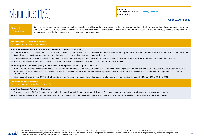## <span id="page-8-0"></span>Mauritius (1/3)

**Contacts: Tax**: Wasoudeo Balloo — [wballoo@kpmg.mu](mailto:wballoo@kpmg.mu) **Restructuring**:

#### **As of 01 April 2020**

#### **General** Information

Mauritius has focused on tax measures (such as removing penalties for those taxpayers unable to submit returns due to the lockdown) and employment-related measures, such as announcing a Wage Scheme Assistance. While they have taken many measures to limit travel in an effort to quarantine the coronavirus, customs are operational in two locations to enable the clearance of goods and outgoing passengers.

#### **Tax measures — Direct and Indirect**

*(e.g. payment deferrals, rate reductions…)*

#### **Mauritius Revenue Authority (MRA) – No penalty and interest for late filing**

- The MRA has issued a communique on 20 March 2020 stating that taxpayers who are unable to submit returns or effect payment of tax due to the lockdown will not be charged any penalty or interest for late submission or payment. No cut-off date has as of yet been communicated on this grace period.
- The head-office of the MRA is closed to the public. However, queries may still be emailed to the MRA as a team of MRA officers are working from home to maintain their services.
- Facilities for the electronic submission of tax returns and electronic payment of tax remain available on the MRA website.

#### **Promoting work-from-home policy & tax credits for companies affected by the COVID-19**

- With a view to promote working from home, the Government introduced a tax reduction scheme in 2020 which gives employers a double tax deduction in respect of emoluments payable to its staff who work from home and a 5 percent tax credit on the acquisition of information technology system. These measures are transitional and apply only for the period 1 July 2018 to 30 June 2020.
- Companies affected by the COVID-19 will also be eligible for certain tax deductions when acquiring plant and machinery during the period 1 March 2020 to 30 June 2020.

#### **Economic stimulus measures** *(e.g. loans, moratorium on debt repayments…)*

#### **Mauritius Revenue Authority – Customs**

- The core services of MRA Customs are operational in Mauritius and Rodrigues, with a skeleton staff, in order to enable the clearance of goods and outgoing passengers;
- Facilities for the electronic submission of Customs Declarations, including electronic payment of duties and taxes, remain available on the Customs Management System.

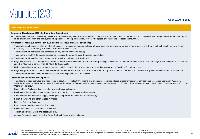## Mauritius (2/3)

**As of 01 April 2020**

#### **Other measures and sources**

#### **Quarantine Regulations 2020 (the Quarantine Regulations)**

— The Mauritius' minister immediately passed the Quarantine Regulations 2020 with effect on 19 March 2020, which restrict "the arrival of a conveyance" and "the prohibition of the boarding on, or dis-embarkment from, the conveyance of a person" to, among other things, prevent "the spread of quarantinable disease in Mauritius".

#### **Key measures taken (under the PHA 1975 and the Infectious Disease Regulations)**

- The isolation and screening of (i) an infected person, (ii) a person reasonably believed of being infected, (iii) a person arriving on an aircraft or ship from a high-risk country or (iv) a person reasonably believed of having had contact with another infected person;
- The imposition of restrictions and conditions on any person mentioned above;
- The powers of the MPF to enforce compliance including the power to keep the person in detention;
- The imposition of a curfew from 20 hours on 23 March to 20 hours on 2 April 2020;
- Regarding restrictions on foreign travel, the Government Notice prescribes a 15-day ban on passenger travels from 10 a.m. on 19 March 2020. Thus, all foreign travel through the port and the airport of Mauritius is banned from 19 March to 2 April 2020;
- National containment protocol provides that the population restrict their travels to the supermarket, corner shops (boutiques) or pharmacies;
- Regarding public transport, a minimum service will be offered. Buses will be on roads from 7 a.m. to 7 p.m. at a reduced frequency and the Metro Express will operate from 6 am to 6 pm;
- The imposition of price control on hand sanitizers, N95 respirators and PPF2 masks.

#### **Particular considerations for employers**

- The closure of trade premises and restrictions of activities implicitly this means that all businesses remain closed except for "essential services" and "economic operators". "Essential Services" include the Police Force, Medical Services, Fire Rescue Services and "economic operators" were listed on 20 March 2020 through a communiqué, titled "Communiqué for Economic Operator", as follows:
- Supply of food (including Bakeries, take away and home deliveries)
- Food production, farming (fruits, vegetables & livestock), food processing and beverages
- Supermarkets and associated supply chains (including online purchase and home delivery)
- Freight Forwarding and other Logistic Activities
- Licensed Telecom Operators
- Petrol Stations and Cooking Gas distribution
- Banks, Insurance and other Financial Services
- Tourism and Press, Media and associated services
- Airlines, Transport Industry including Taxis, Port and Airport related activities

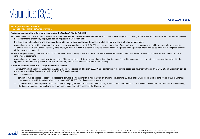## Mauritius (3/3)

#### **Employment-related measures**

#### *(e.g. state compensation schemes, training…)*

#### **Particular considerations for employees (under the Workers' Rights Act 2019)**

- The employers who are "economic operators" can request their employees to leave their homes and come to work, subject to obtaining a COVID-19 Work Access Permit for their employees. For the remaining employers, employees can be requested to work from home;
- For the majority of employers who are unable to provide work to their employees, the employer shall still have to pay a full day's remuneration;
- An employer may fix the 11 paid annual leaves of an employee earning up to MUR 50,000 as basic monthly salary, if the employer and employee are unable to agree when the statutory 22 annual leaves are to be taken. However, if the employee does not want to exhaust those paid annual leaves, the parties may agree that unpaid leaves be taken but the express consent of the employee is required;
- For employees earning more than MUR 50,000 as basic monthly salary, there is no minimum annual leaves' entitlement, and it will therefore depend on the terms and conditions of the employment agreement;
- An employer may require an employee (irrespective of his salary threshold) to work for a shorter time than that specified in his agreement and at a reduced remuneration, subject to the approval of the supervising officer of the Ministry of Labor, Human Resource Development and Training.

#### **Mauritius Revenue Authority — Wage Assistance Scheme**

- The Government of Mauritius announced a Wage Scheme Assistance on 23 March 2020. Where companies in the private sector are adversely affected by COVID-19, an application can be made to the Mauritius Revenue Authority ("MRA") for financial support.
- Under this scheme:
	- companies will be entitled to receive, in respect to its wage bill for the month of March 2020, an amount equivalent to 15 days basic wage bill for all of its employees drawing a monthly basic wage of up to MUR 50,000 subject to a cap of MUR 12,500 of assistance per employee;
	- companies will be able to provide financial support to employees in the travel and tourism sector, export-oriented enterprises, ICT/BPO sector, SMEs and other sectors of the economy, who become technically unemployed on a temporary basis due to the impact of the Coronavirus.

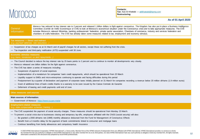### <span id="page-11-0"></span>**Morocco**

**Contacts: Tax**: Aziz El Khattabi — [aelkhattabi@kpmg.com](mailto:aelkhattabi@kpmg.com) **Restructuring**:

#### **As of 01 April 2020**

#### **General** Information

Morocco has reduced its key interest rate to 2 percent and released 1 billion dollars to fight against coronavirus. The Kingdom has also put in place a Business Intelligence Committee (Comité de Veille Economique or CVE) to look at Morocco's economical situation under the Coronavirus crisis and to take appropriate measures. The CVE includes Morocco's relevant Ministries, banking professionals' federation, private sector association, Chambers of commerce, industry and services federation and chambers of crafts federation. The CVE has already taken some measures related to tax, employment and economy stimulus.

#### **Tax measures — Direct and Indirect** *(e.g. payment deferrals, rate reductions…)*

- Suspension of tax charges as at 31 March and of payroll charges for all sectors, except those not suffering from the crisis.
- Tax inspection and third-party notification (ATD) suspended until 30 June.

#### **Economic stimulus measures** *(e.g. loans, moratorium on debt repayments…)*

- The Council decided to reduce the key interest rate by 25 basis points to 2 percent and to continue to monitor all developments very closely.
- Morocco released one billion dollars for the fight against coronavirus.
- The CVE has taken a series of measures including:
	- Suspension of payment of social expenses
	- Implementation of a moratorium for companies' bank credit repayments, which should be operational from 23 March
	- Liquidity support to SMEs and micro-enterprises continuing to operate and facing difficulties during this period
	- Postponement by a quarter of declaration and payment of corporate taxes initially planned on 31 March for companies recording a revenue below 20 million dirhams (1.9 million euros)
	- Grant of additional lines of bank credits thanks to a warranty to be soon issued by the Caisse Centrale de Garantie
	- Deferment of leasing and credit payments until end of June

#### **Other measures and sources**

#### **Main sources of information:**

— Government of Morocco: <https://www.cg.gov.ma/ar>

#### **Employment-related measures**

- *(e.g. state compensation schemes, training…)*
- The CVE suspended the payment of social security charges. These measures should be operational from Monday 23 March.
- To prevent a social crisis due to businesses closing and temporary lay-offs, employees affiliated with the CNSS (social security) will also:
	- Be granted a 2000 dirhams net (190€) monthly allowance disbursed from the Fund for Management of Coronavirus Effects
	- Benefit from a 3 months delay for the payment of bank commitments linked to consumer and mortgage loans
	- Continue benefiting from family allowances and compulsory health Insurance



© 2020 KPMG International Cooperative ("KPMG International"), a Swiss entity. Member firms of the KPMG network of independent firms are affiliated with KPMG International. KPMG International provides no services to clients. No member firm has any authority to obligate or bind KPMG International or any other member firm vis-à-vis third parties, nor does KPMG International have any such authority to obligate or bind any member firm. All rights Information contained in this document was prepared by local KPMG professionals.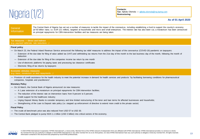<span id="page-12-0"></span>

**Contacts: Tax**: Ajibola Olomola — [ajibola.olomola@ng.kpmg.com](mailto:ajibola.olomola@ng.kpmg.com) **Restructuring**:

**As of 01 April 2020**

#### **General** Information

The Central Bank of Nigeria has set out a number of measures to tackle the impact of the coronavirus, including establishing a fund to support the country's economy (of 50 billion naira; i.e. EUR 121 million), targeted at households and micro and small enterprises. The interest rate has also been cut, a moratorium has been announced on principal repayments for CBN intervention facilities and tax measures are being taken.

#### **Tax measures — Direct and Indirect** *(e.g. payment deferrals, rate reductions…)*

#### **Fiscal policy**

- On March 23, the Federal Inland Revenue Service announced the following tax relief measures to address the impact of the coronavirus (COVID-19) pandemic on taxpayers:
	- Extension of the due date for filing of value added tax (VAT) and withholding tax returns from the 21st day of the month to the last business day of the month, following the month of deduction
	- Extension of the due date for filing of the companies income tax return by one month
	- Use of electronic platforms for paying taxes and processing tax clearance certificates
	- Electronic filing of tax returns by taxpayers

#### **Economic stimulus measures**

#### *(e.g. loans, moratorium on debt repayments…)*

— Provision of credit assistance for the health industry to meet the potential increase in demand for health services and products "by facilitating borrowing conditions for pharmaceutical companies, hospitals and practitioners".

#### **Monetary Policy**

- On 16 March, the Central Bank of Nigeria announced six new measures:
	- A 1 year extension of a moratorium on principal repayments for CBN intervention facilities;
	- The reduction of the interest rate on intervention loans from 9 percent to 5 percent;
	- Credit support for the healthcare industry;
	- Urging Deposit Money Banks to consider temporary and time limited restructuring of the tenor and loan terms for affected businesses and households;
	- Strengthening of the Loan to Deposit ratio policy (i.e. stepped up enforcement of directive to extend more credit to the private sector)

#### **Fiscal Policy**

- The crude oil benchmark price was also reduced from USD 57 to USD 30.
- The Central Bank pledged to pump NGN 1.1 trillion (USD 3 billion) into critical sectors of the economy.

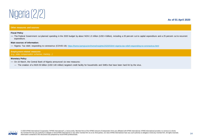

#### **As of 01 April 2020**

#### **Other measures and sources**

#### **Fiscal Policy**

— The Federal Government cut planned spending in the 2020 budget by about NGN 1.5 trillion (USD 4 billion), including a 20 percent cut to capital expenditure and a 25 percent cut to recurrent expenditure.

#### **Main sources of information:**

— Nigeria: Tax relief, responding to coronavirus (COVID-19): <https://home.kpmg/us/en/home/insights/2020/03/tnf-nigeria-tax-relief-responding-to-coronavirus.html>

**Employment-related measures** *(e.g. state compensation schemes, training…)*

#### **Monetary Policy**

- On 16 March, the Central Bank of Nigeria announced six new measures:
	- The creation of a NGN 50 billion (USD 140 million) targeted credit facility for households and SMEs that have been hard-hit by the virus.

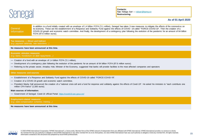<span id="page-14-0"></span>

**Contacts: Tax**: Ndiaga Sarr — [ndsarr@kpmg.sn](mailto:ndsarr@kpmg.sn) **Restructuring**:

#### **As of 01 April 2020**

### Information

**General** 

In addition to a fund initially created with an envelope of 1.4 billion FCFA ('2.1 million), Senegal has taken 3 new measures to mitigate the effects of the coronavirus on its economy. These are the establishment of a Response and Solidarity Fund against the effects of COVID- 19 called "FORCE-COVID-19". Then the creation of a COVID-19 growth and economic watch committee. And finally, the development of a contingency plan following the evolution of the pandemic for an amount of 64 billion FCFA (97.6 million euros).

**Tax measures — Direct and Indirect** *(e.g. payment deferrals, rate reductions…)*

**No measures have been announced at this time.**

#### **Economic stimulus measures** *(e.g. loans, moratorium on debt repayments…)*

- Creation of a fund with an envelope of 1.4 billion FCFA ('2.1 million),
- Development of a contingency plan following the evolution of the pandemic for an amount of 64 billion FCFA (97.6 million euros).
- Referring to the private sector, Amadou Hott, Minister of the Economy, suggested that banks will provide facilities to the most affected companies and operators

#### **Other measures and sources**

- Establishment of a Response and Solidarity Fund against the effects of COVID-19 called "FORCE-COVID-19".
- Creation of a COVID-19 growth and economic watch committee.
- President Macky Sall announced the creation of a "national crisis cell and a fund for response and solidarity against the effects of Covid-19". He asked his ministers to "each contribute one million CFA francs" (1,500 euros).

#### **Main sources of information:**

— Government of Senegal: Covid-19 official Portal: <https://covid19.sec.gouv.sn/>

#### **Employment-related measures** *(e.g. state compensation schemes, training…)*

**No measures have been announced at this time.**

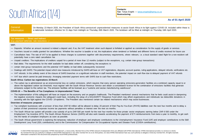## <span id="page-15-0"></span>South Africa (1/4)

**Contacts: Tax**: Tanya Engels — [tanya.engels@kpmg.co.za](mailto:tanya.engels@kpmg.co.za) **Restructuring**:

#### **As of 01 April 2020**

#### **General** Information

On Monday 23 March 2020, the President of South Africa announced unprecedented measures to assist South Africa in its fight against COVID-19. Included within these is a nationwide lockdown effective for 21 days from midnight on Thursday 26th March 2020. The lockdown will be lifted at midnight on Thursday 16th April 2020.

#### **Tax measures — Direct and Indirect** *(e.g. payment deferrals, rate reductions…)*

#### **VAT:**

- Deposits: Whether an amount received is indeed a deposit and, if so, the VAT treatment when such deposit is forfeited or applied as consideration for the supply of goods or services
- Vouchers issued or credits granted for cancellations: Whether the voucher is taxable or not, the implications when tendered or forfeited and different forms of credits received for future use
- Cancellation fees: The rate of VAT to be applied to these charges to customers together with documentary requirements, where relevant, i.e. a local standard rated flight for a non-resident will potentially have a zero rated cancellation fee
- Unpaid creditors: The implications of creditors unpaid for a period of more than 12 months (subject to the exceptions, e.g. certain inter-group transactions)
- Bad debts: The requirements for the relief available for bad debts written off, considering the exceptions to
- certain inter-group transactions and the potential VAT liability on bad debts subsequently recovered
- Dealings with SARS: The potential impact which new measures introduced by SARS will have on VAT registrations, disputes, account queries, ruling applications, delayed refunds, verifications etc.
- VAT refunds: In the unlikely event of the closure of SARS branches or a significant reduction in staff members, the potential impact on cash flow due to delayed payment of VAT refunds
- VAT due which cannot be paid timeously: Arranging extended payment terms with SARS due to cash flow restrictions.

#### **South Africa: Carbon tax registrations 23 March**

— The carbon tax is administered as an environmental levy on carbon emissions, which requires that every person operating emissions-generation facilities at a combined capacity equal to or above the legislated carbon tax threshold, must register with the South African Revenue Service and obtain a consolidated license for the combination of emissions facilities that generate emissions subject to the carbon tax. The emission facilities will be licensed as a "customs and excise manufacturing warehouse".

#### **COVID-19 — The Benefits of Tax Compliance in Unprecedented Times**

— The implementation of this safeguard will have an impact on the economy and on people's livelihoods. The President mentioned several mechanisms that he feels could assist in dampening the negative economic impacts the safeguard could have, including the setup of a SOLIDARITY Response Fund which may afford organizations and individuals tax deductible donations in assisting with the fight against the COVID- 19 epidemic. The President also mentioned certain tax related mechanisms which may assist businesses.

#### **Overview of measures proposed**

- Tax compliant businesses with a turnover of less than ZAR 50 million will be allowed to delay 20 percent of their Pay-As-You-Earn (PAYE) liabilities over the next four months and to delay a portion of their provisional corporate income tax payments without penalties or interest over the next six months.
- The South African tax system will provide a tax subsidy of up to ZAR 500 per month for the next four months for those private sector employees earning below ZAR 6 500 under the Employment Tax Incentive (ETI). The South African Revenue Service (SARS) will also work towards accelerating the payment of ETI reimbursements from twice a year to monthly, to get cash into the hands of compliant employers as soon as possible.
- The South African government is exploring the temporary reduction of employer and employee contributions to the Unemployment Insurance Fund (UIF) and employer contributions to the Skill Development Levy Fund (SDL contributions) and to the Commissioner for Compensation for Occupational Injuries and Disease Fund (COIDA contributions).

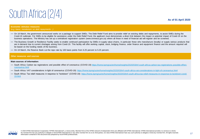## South Africa (2/4)

**Economic stimulus measures** *(e.g. loans, moratorium on debt repayments…)*

- On 18 March, the government announced works on a package to support SMEs. The Debt Relief Fund aims to provide relief on existing debts and repayments, to assist SMEs during the Covid-19 outbreak. For SMEs to be eligible for assistance under the Debt Relief Fund, the applicant must demonstrate a direct link between the impact or potential impact of Covid-19 on the business operations. The Ministry has set up a centralised registration system (www.smmesa.gov.za) where all those in need of financial aid will register and be screened.
- The Business Growth or Resilience Facility seeks to enable continued participation by SMEs in supply value-chains, in particular those who manufacture (locally) or supply various products that are in demand due to current shortages arising from Covid-19. This facility will offer working capital, stock, bridging finance, order finance and equipment finance and the amount required will be based on the funding needs of the business.
- On 19 March, the Reserve Bank cut the repo rate by 100 basis points from 6.25 percent to 5.25 percent.

#### **Other measures and sources**

**Main sources of information:**

- [South Africa: Carbon tax registrations and possible effect of coronavirus \(COVID-19\) https://home.kpmg/us/en/home/insights/2020/03/tnf-south-africa-carbon-tax-registrations-possible-effect](https://home.kpmg/us/en/home/insights/2020/03/tnf-south-africa-carbon-tax-registrations-possible-effect-coronavirus.html)coronavirus.html
- South Africa: VAT considerations in light of coronavirus (COVID-19): <https://home.kpmg/us/en/home/insights/2020/03/tnf-south-africa-vat-considerations-in-light-of-coronavirus.html>
- [South Africa: Tax relief measures in response to "lockdown" \(COVID-19\): https://home.kpmg/us/en/home/insights/2020/03/tnf-south-africa-tax-relief-measures-in-response-to-lockdown-covid-](https://home.kpmg/us/en/home/insights/2020/03/tnf-south-africa-tax-relief-measures-in-response-to-lockdown-covid-19.html)19.html

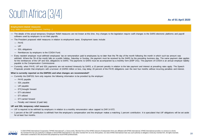## South Africa (3/4)

**As of 01 April 2020**

#### **Employment-related measures**

#### *(e.g. state compensation schemes, training…)*

- The details of the actual temporary Employer Relief measures are not known at this time. Any changes to the legislation require swift changes to the SARS electronic platforms and payroll software used by employers to run their payrolls.
- The President proposed relief measures in relation to employment taxes. Employment taxes include:
	- PAYE
	- UIF
	- SDL obligations
	- Remittances by employers to the COIDA Fund.
- Every resident employer must withhold employees' tax on remuneration paid to employees by no later than the 7th day of the month following the month in which such tax amount was withheld. Where the 7th of the month falls on a public holiday, Saturday or Sunday, the payment must be received by the SARS by the preceding business day. The same payment date applies for the remittances of the UIF and SDL obligations to SARS. The payments to SARS must be accompanied by a monthly form (EMP 201). The payment of COIDA is an annual employer liability payable to the Compensation Commissioner.
- Currently, when PAYE, UIF and SDL payments are not received timeously by SARS, a 10 percent penalty in relation to the late payment and interest at prevailing rates apply. The Speech Proposals provide that employers with a turnover of ZAR50 million or less, may delay 20 percent of the PAYE obligations over the next four months without incurring penalties and interest.

#### **What is currently reported on the EMP201 and what changes are recommended?**

- Currently the EMP201 form only requires the following information to be provided by the employer:
	- PAYE payable
	- SDL payable
	- UIF payable
	- ETI[ brought forward
	- ETI calculated
	- ETI utilized
	- ETI carried forward
	- Penalty and Interest (if paid late)

#### **UIF and SDL temporary relief measures**

- UIF is required to be withheld by employers in relation to a monthly remuneration value capped to ZAR 14 872.
- 1 percent of the UIF contribution is withheld from the employee's compensation and the employer makes a matching 1 percent contribution. It is speculated that UIF obligations will be set aside for at least four months.

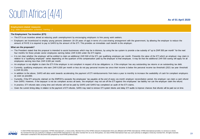### South Africa (4/4)

**As of 01 April 2020**

#### **Employment-related measures**

#### *(e.g. state compensation schemes, training…)*

#### **The Employment Tax Incentive (ETI)**

- The ETI is an incentive aimed at reducing youth unemployment by encouraging employers to hire young work seekers.
- Employers are incentivized to employ young persons (between 18–29 years of age) in terms of a cost-sharing arrangement with the government, by allowing the employer to reduce the amount of PAYE it is required to pay to SARS by the amount of the ETI. This provides an immediate cash benefit to the employer.

#### **What are the proposals?**

- The President stated that this proposal is intended to assist businesses which may be in distress, by using the tax system to provide a tax subsidy of "up to ZAR 500 per month" for the next four months for those private sector employees earning below ZAR 6,500 under the ETI regime.
- It is not clear whether the employer will be entitled to claim an additional ZAR 500 of the ETI, per qualifying employee per month. Presently the value of the ETI which an employer may claim in relation to a "qualifying employee" varies depending on the quantum of the compensation paid by the employer to that employee. It may be that the additional ZAR 500 saving will apply for all employees earning less than ZAR 6,500 per month.
- An employer is not eligible to claim the ETI if the employer is not compliant in respect of its tax obligations i.e. if the employer has any outstanding tax returns or an outstanding tax debt.
- Currently, qualifying employees who earn ZAR 6,500 per month or less do not pay personal income tax since their income is below the personal income tax threshold (2021 tax year threshold is ZAR 83,100).
- In addition to the above, SARS will also work towards accelerating the payment of ETI reimbursements from twice a year to monthly to increase the availability of cash for compliant employers as soon as possible.
- Currently, if the ETI amounts claimed on the EMP201s exceeds the employees' tax payable at the end of every six-month employer reconciliation period, the employer can claim a cash refund from SARS. However, if the taxpayer is not tax compliant across all taxes, the employer may not set off the ETI against the employees' tax liability nor can the employer claim the refund.
- In practice, ETI refunds take a long time and refunds will not be paid by SARS until SARS has completed an audit of the ETI claims.
- Given the current timing delay in relation to the payment of ETI refunds, SARS may need to remove ETI system blocks and delay ETI audits to improve chances that refunds will be paid out on time.

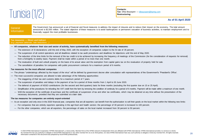<span id="page-19-0"></span>

**Contacts: Tax**: Dhia Bouzayen — [dbouzayen@kpmg.com](mailto:dbouzayen@kpmg.com) **Restructuring**:

#### **As of 01 April 2020**

#### **General** Information

The Government has announced a set of financial and fiscal measures to address the impact of closures and to reduce their impact on the economy. The total amount announced is \$2,500 million. The stated objective of these measures is to avoid bankruptcies or permanent cessation of business activities, to maintain employment and to financially support the most profitable businesses.

#### **Tax measures — Direct and Indirect** *(e.g. payment deferrals, rate reductions…)*

- **All companies, whatever their size and sector of activity, have systematically benefited from the following measures:**
	- The extension of SI declarations until the end of May 2020, with the exception of companies subject to the SI rate of 35 percent.
	- The suspension of all control operations and all deadlines related to tax audit procedures and deadlines for objections until the end of May 2020.
	- The reduction of the time limits for the removal of the tax credit is to be achieved by increasing the frequency of meetings of the Commission (for the consideration of requests for removal) from a fortnightly to weekly basis. Payment shall be made within a period of no more than one month.
	- The revaluation of built and unbuilt property on the basis of its actual value and the exemption from capital gains tax on the revaluation of property held for sale.
	- The cancellation of penalties for companies with public procurement contracts for a maximum period of 6 months.

#### **Tax measures for the most affected companies**

- The phrase "undertakings affected by the impact of the virus" will be defined by government decree after consultation with representatives of the Government's 'President's Office'.
- The most successful companies are allowed to take advantage of the following opportunities:
	- The staggering of their tax and customs debts for a maximum period of 7 years.
	- The suspension of penalties and delays in the payment of tax for a period of three months from 1 April to 30 June 2020.
	- The deferral of payment of NSSO contributions (for the second and third quarters) lasts for three months (excluding the first quarter due on 15 or 25 April).
	- Simplification of the procedures for refunding the VAT credit from the farm by removing the condition of continuity for a period of 6 months. Payment will be made within a maximum of one month.
	- With the exception of the certificate of purchase and the certificate of suspension of tax and other tax certificates, which may be obtained at any time without the presentation of the necessary documents, provided that they are submitted at a later date.

#### **The tax measures for companies are entirely export-oriented**

- As an exception and only once in the 2020 financial year, companies that are all exporters can benefit from the authorization to sell their goods on the local market within the following new limits:
	- For companies that are entirely exporters operating in the agri-food and health sectors: the percentage of 30 percent is increased to 100 percent.
	- For the other companies, which are all exporters, the percentage of sales on the local market increased from 30 percent to 50 percent.

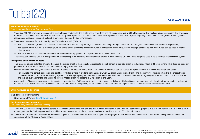

#### **Economic stimulus measures** *(e.g. loans, moratorium on debt repayments…)*

- There is a 500 MD envelope to increase the stock of basic products for the public sector drug, food and oil companies, and a 500 MD quarantee line to allow private companies that are unable to obtain bank credit to maintain their business (credits granted up to the end of December 2020, over a period of 7 years with 2 years of grace). The tourism sector (hotels, travel agencies, restaurants, craftsmen, transport, culture) is particularly targeted by this MF measure.
- Three new investment funds, funded by the CDC under the MF, (700MD):
	- The first of 500 MD (of which 100 MD will be released as a first tranche) for large companies, including strategic companies, to strengthen their capital and maintain employment;
	- The second of the 100 MD is a bridging fund for the takeover of existing investment funds in companies facing difficulties in strategic sectors, so that these funds can be used to finance other projects;
	- The third part of a 100 MD fund to finance the acquisition of equipment for hospitals and public health institutions.
- This contribution from the CDC will be dependent on the financing of the Treasury, which is the main source of funds from the CSF and would oblige the State to have recourse to the financial system.

#### **Exemptions and financial support**

- This measure relates to limited amounts because the source credit of the population represents a small portion of the total credit to individuals, which is 24 billion dinars. This does not pose any problems for the banks, as other individuals continue to pay back the loans.
- Deferral of bank credit repayments over 6 months for companies affected by the crisis. This measure, however, can be applied to higher amounts if it covers more than one sector.
	- For example, the central risk center has identified 67 billion Dinars in credit to companies, of which 39 billion Dinars is short term, and the carry-over must be limited to the most affected companies so as not to choke the banking system. The average liquidity requirement of the banks has fallen from 16 billion Dinars at the beginning of 2019 to 11 billion Dinars at present, and this fall over 12 months has helped to reduce inflation (from 7.3 percent to 5.8 percent in one year).
- A resumption of financing may allow banks to extend the maturities of affected customers, but this would be limited to 5 billion Dinars over one year, with the aim of not exceeding the level at the end of 2018. This represents 13 percent of all short-term loans to companies, so the balance of the loans must be targeted at the companies most affected by the crisis.

#### **Other measures and sources**

#### **Main sources of information:**

— Government of Tunisia: <http://fr.tunisie.gov.tn/>

#### **Employment-related measures**

#### *(e.g. state compensation schemes, training…)*

- There is a 300 million envelope for the benefit of technically unemployed workers, the first of which, according to the Finance Department's proposal, would be of interest to SMEs, with a view to strengthening the SME support fund, in addition to the implementation of the previous decision to provide a bonus of 3 points of interest.
- There is also a 150 million envelope for the benefit of poor and special-needs families that supports family programs that require direct assistance to individuals directly affected under the supervision of the Ministry of Social Affairs.